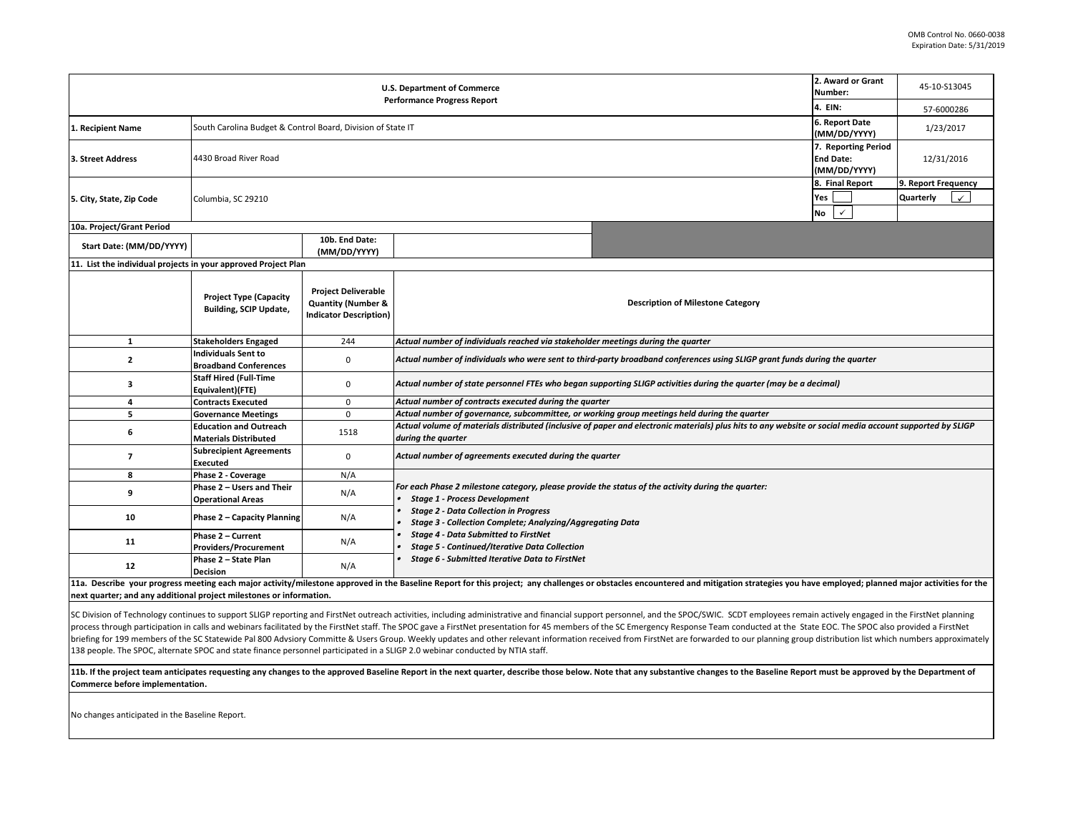| <b>U.S. Department of Commerce</b><br><b>Performance Progress Report</b> |                                                                |                                                                                              |                                                                                                                                                                                |  | 2. Award or Grant<br>45-10-S13045<br>Number: |  |  |  |
|--------------------------------------------------------------------------|----------------------------------------------------------------|----------------------------------------------------------------------------------------------|--------------------------------------------------------------------------------------------------------------------------------------------------------------------------------|--|----------------------------------------------|--|--|--|
|                                                                          | 4. EIN:                                                        | 57-6000286                                                                                   |                                                                                                                                                                                |  |                                              |  |  |  |
| 1. Recipient Name                                                        | South Carolina Budget & Control Board, Division of State IT    | 6. Report Date<br>(MM/DD/YYYY)                                                               | 1/23/2017                                                                                                                                                                      |  |                                              |  |  |  |
| 3. Street Address                                                        | 4430 Broad River Road                                          | 7. Reporting Period<br><b>End Date:</b><br>(MM/DD/YYYY)                                      | 12/31/2016                                                                                                                                                                     |  |                                              |  |  |  |
| 5. City, State, Zip Code                                                 | Columbia, SC 29210                                             | 8. Final Report<br>Yes<br><b>No</b><br>$\checkmark$                                          | 9. Report Frequency<br>Quarterly<br>$\checkmark$                                                                                                                               |  |                                              |  |  |  |
| 10a. Project/Grant Period                                                |                                                                |                                                                                              |                                                                                                                                                                                |  |                                              |  |  |  |
| Start Date: (MM/DD/YYYY)                                                 |                                                                | 10b. End Date:<br>(MM/DD/YYYY)                                                               |                                                                                                                                                                                |  |                                              |  |  |  |
| 11. List the individual projects in your approved Project Plan           |                                                                |                                                                                              |                                                                                                                                                                                |  |                                              |  |  |  |
|                                                                          | <b>Project Type (Capacity</b><br><b>Building, SCIP Update,</b> | <b>Project Deliverable</b><br><b>Quantity (Number &amp;</b><br><b>Indicator Description)</b> | <b>Description of Milestone Category</b>                                                                                                                                       |  |                                              |  |  |  |
| $\mathbf{1}$                                                             | <b>Stakeholders Engaged</b>                                    | 244                                                                                          | Actual number of individuals reached via stakeholder meetings during the quarter                                                                                               |  |                                              |  |  |  |
| $\overline{2}$                                                           | <b>Individuals Sent to</b><br><b>Broadband Conferences</b>     | 0                                                                                            | Actual number of individuals who were sent to third-party broadband conferences using SLIGP grant funds during the quarter                                                     |  |                                              |  |  |  |
| з                                                                        | <b>Staff Hired (Full-Time</b><br>Equivalent)(FTE)              | $\mathbf 0$                                                                                  | Actual number of state personnel FTEs who began supporting SLIGP activities during the quarter (may be a decimal)                                                              |  |                                              |  |  |  |
| 4                                                                        | <b>Contracts Executed</b>                                      | $\mathbf{0}$                                                                                 | Actual number of contracts executed during the quarter                                                                                                                         |  |                                              |  |  |  |
| 5                                                                        | <b>Governance Meetings</b>                                     | $\mathbf 0$                                                                                  | Actual number of governance, subcommittee, or working group meetings held during the quarter                                                                                   |  |                                              |  |  |  |
| 6                                                                        | <b>Education and Outreach</b><br><b>Materials Distributed</b>  | 1518                                                                                         | Actual volume of materials distributed (inclusive of paper and electronic materials) plus hits to any website or social media account supported by SLIGP<br>during the quarter |  |                                              |  |  |  |
| $\overline{7}$                                                           | <b>Subrecipient Agreements</b><br>Executed                     | $\mathbf 0$                                                                                  | Actual number of agreements executed during the quarter                                                                                                                        |  |                                              |  |  |  |
| 8                                                                        | Phase 2 - Coverage                                             | N/A                                                                                          |                                                                                                                                                                                |  |                                              |  |  |  |
| 9                                                                        | Phase 2 - Users and Their<br><b>Operational Areas</b>          | N/A                                                                                          | For each Phase 2 milestone category, please provide the status of the activity during the quarter:<br><b>Stage 1 - Process Development</b>                                     |  |                                              |  |  |  |
| 10                                                                       | Phase 2 - Capacity Planning                                    | N/A                                                                                          | <b>Stage 2 - Data Collection in Progress</b><br><b>Stage 3 - Collection Complete; Analyzing/Aggregating Data</b>                                                               |  |                                              |  |  |  |
| 11                                                                       | Phase 2 - Current<br>Providers/Procurement                     | N/A                                                                                          | <b>Stage 4 - Data Submitted to FirstNet</b><br><b>Stage 5 - Continued/Iterative Data Collection</b>                                                                            |  |                                              |  |  |  |
| 12                                                                       | Phase 2 - State Plan<br><b>Decision</b>                        | N/A                                                                                          | Stage 6 - Submitted Iterative Data to FirstNet                                                                                                                                 |  |                                              |  |  |  |

11a. Describe your progress meeting each major activity/milestone approved in the Baseline Report for this project; any challenges or obstacles encountered and mitigation strategies you have employed; planned major activit **next quarter; and any additional project milestones or information.** 

SC Division of Technology continues to support SLIGP reporting and FirstNet outreach activities, including administrative and financial support personnel, and the SPOC/SWIC. SCDT employees remain actively engaged in the Fi process through participation in calls and webinars facilitated by the FirstNet staff. The SPOC gave a FirstNet presentation for 45 members of the SC Emergency Response Team conducted at the State EOC. The SPOC also provid briefing for 199 members of the SC Statewide Pal 800 Advsiory Committe & Users Group. Weekly updates and other relevant information received from FirstNet are forwarded to our planning group distribution list which numbers 138 people. The SPOC, alternate SPOC and state finance personnel participated in a SLIGP 2.0 webinar conducted by NTIA staff.

11b. If the project team anticipates requesting any changes to the approved Baseline Report in the next quarter, describe those below. Note that any substantive changes to the Baseline Report must be approved by the Depart **Commerce before implementation.** 

No changes anticipated in the Baseline Report.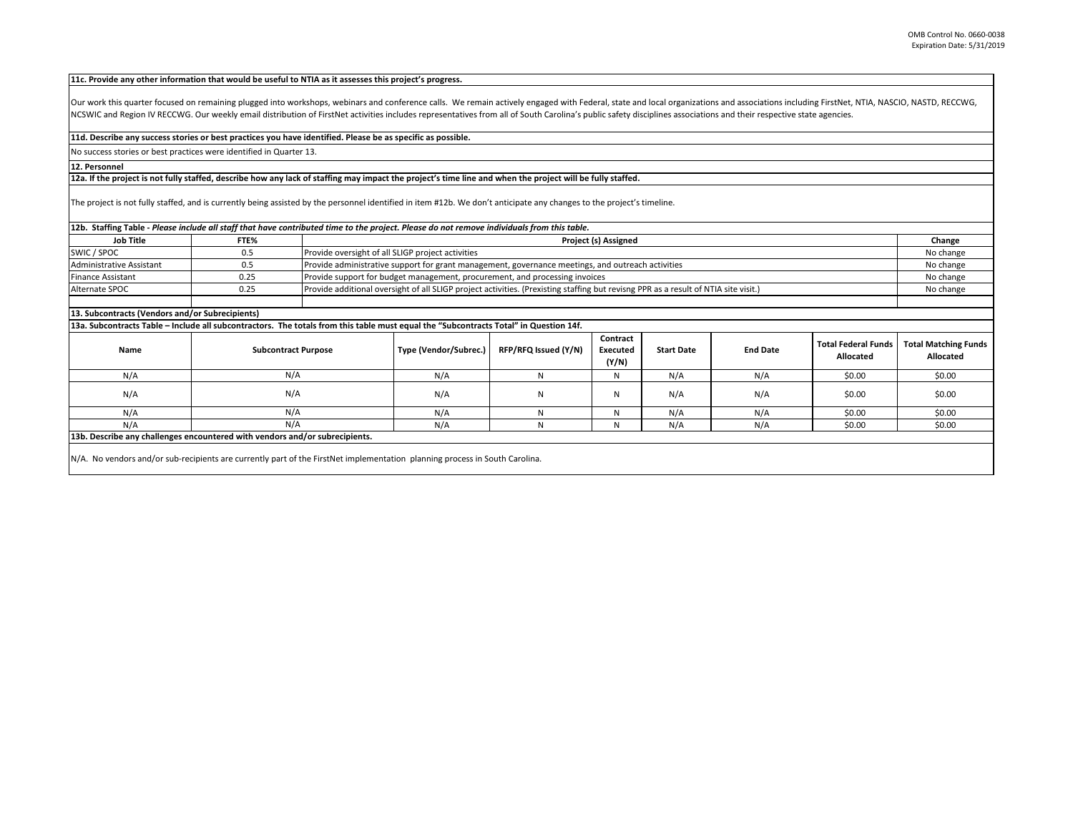## **11c. Provide any other information that would be useful to NTIA as it assesses this project's progress.**

Our work this quarter focused on remaining plugged into workshops, webinars and conference calls. We remain actively engaged with Federal, state and local organizations and associations including FirstNet, NTIA, NASCIO, NA NCSWIC and Region IV RECCWG. Our weekly email distribution of FirstNet activities includes representatives from all of South Carolina's public safety disciplines associations and their respective state agencies.

## **11d. Describe any success stories or best practices you have identified. Please be as specific as possible.**

No success stories or best practices were identified in Quarter 13.

## **12. Personnel**

## **12a. If the project is not fully staffed, describe how any lack of staffing may impact the project's time line and when the project will be fully staffed.**

The project is not fully staffed, and is currently being assisted by the personnel identified in item #12b. We don't anticipate any changes to the project's timeline.

| 12b. Staffing Table - Please include all staff that have contributed time to the project. Please do not remove individuals from this table. |                            |                                                                             |                                                                                                                                                  |                      |                               |                   |                 |                                         |                                          |  |
|---------------------------------------------------------------------------------------------------------------------------------------------|----------------------------|-----------------------------------------------------------------------------|--------------------------------------------------------------------------------------------------------------------------------------------------|----------------------|-------------------------------|-------------------|-----------------|-----------------------------------------|------------------------------------------|--|
| <b>Job Title</b>                                                                                                                            | FTE%                       |                                                                             | Project (s) Assigned                                                                                                                             |                      |                               |                   |                 |                                         |                                          |  |
| SWIC / SPOC                                                                                                                                 | 0.5                        |                                                                             | Provide oversight of all SLIGP project activities                                                                                                |                      |                               |                   |                 |                                         |                                          |  |
| Administrative Assistant                                                                                                                    | 0.5                        |                                                                             | Provide administrative support for grant management, governance meetings, and outreach activities                                                |                      |                               |                   |                 |                                         |                                          |  |
| <b>Finance Assistant</b>                                                                                                                    | 0.25                       | Provide support for budget management, procurement, and processing invoices |                                                                                                                                                  |                      |                               |                   |                 |                                         | No change                                |  |
| Alternate SPOC                                                                                                                              | 0.25                       |                                                                             | Provide additional oversight of all SLIGP project activities. (Prexisting staffing but revisng PPR as a result of NTIA site visit.)<br>No change |                      |                               |                   |                 |                                         |                                          |  |
|                                                                                                                                             |                            |                                                                             |                                                                                                                                                  |                      |                               |                   |                 |                                         |                                          |  |
| 13. Subcontracts (Vendors and/or Subrecipients)                                                                                             |                            |                                                                             |                                                                                                                                                  |                      |                               |                   |                 |                                         |                                          |  |
| 13a. Subcontracts Table – Include all subcontractors. The totals from this table must equal the "Subcontracts Total" in Question 14f.       |                            |                                                                             |                                                                                                                                                  |                      |                               |                   |                 |                                         |                                          |  |
| Name                                                                                                                                        | <b>Subcontract Purpose</b> |                                                                             | Type (Vendor/Subrec.)                                                                                                                            | RFP/RFQ Issued (Y/N) | Contract<br>Executed<br>(Y/N) | <b>Start Date</b> | <b>End Date</b> | <b>Total Federal Funds</b><br>Allocated | <b>Total Matching Funds</b><br>Allocated |  |
| N/A                                                                                                                                         | N/A                        |                                                                             | N/A                                                                                                                                              | N                    | N                             | N/A               | N/A             | \$0.00                                  | \$0.00                                   |  |
| N/A                                                                                                                                         | N/A                        |                                                                             | N/A                                                                                                                                              | N                    | N                             | N/A               | N/A             | \$0.00                                  | \$0.00                                   |  |
| N/A                                                                                                                                         | N/A                        |                                                                             | N/A                                                                                                                                              | N                    | N                             | N/A               | N/A             | \$0.00                                  | \$0.00                                   |  |
| N/A                                                                                                                                         | N/A                        |                                                                             | N/A                                                                                                                                              | N                    | N                             | N/A               | N/A             | \$0.00                                  | \$0.00                                   |  |
| 13b. Describe any challenges encountered with vendors and/or subrecipients.                                                                 |                            |                                                                             |                                                                                                                                                  |                      |                               |                   |                 |                                         |                                          |  |
| N/A. No vendors and/or sub-recipients are currently part of the FirstNet implementation planning process in South Carolina.                 |                            |                                                                             |                                                                                                                                                  |                      |                               |                   |                 |                                         |                                          |  |